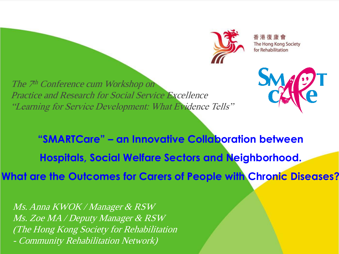

香港復康會 The Hong Kong Society for Rehabilitation

The 7<sup>th</sup> Conference cum Workshop on Practice and Research for Social Service Excellence "Learning for Service Development: What Evidence Tells"



**"SMARTCare" – an Innovative Collaboration between Hospitals, Social Welfare Sectors and Neighborhood.**

**What are the Outcomes for Carers of People with Chronic Diseases?**

Ms. Anna KWOK / Manager & RSW Ms. Zoe MA / Deputy Manager & RSW (The Hong Kong Society for Rehabilitation Community Rehabilitation Network)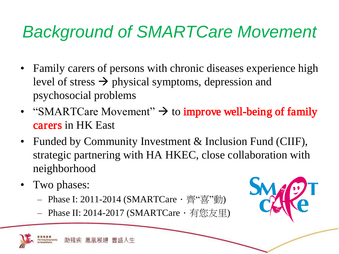## *Background of SMARTCare Movement*

- Family carers of persons with chronic diseases experience high level of stress  $\rightarrow$  physical symptoms, depression and psychosocial problems
- "SMARTCare Movement"  $\rightarrow$  to **improve well-being of family** carers in HK East
- Funded by Community Investment & Inclusion Fund (CIIF), strategic partnering with HA HKEC, close collaboration with neighborhood
- Two phases:
	- Phase I: 2011-2014 (SMARTCare · 齊"喜"動)
	- Phase II: 2014-2017 (SMARTCare · 有您友里)

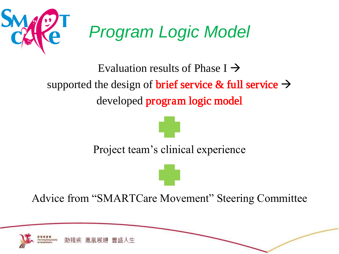

Evaluation results of Phase  $I \rightarrow$ supported the design of **brief service & full service**  $\rightarrow$ developed program logic model

Project team's clinical experience

Advice from "SMARTCare Movement" Steering Committee

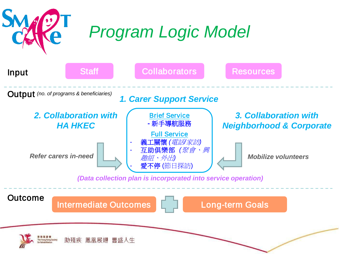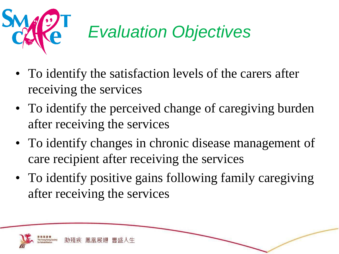

# *Evaluation Objectives*

- To identify the satisfaction levels of the carers after receiving the services
- To identify the perceived change of caregiving burden after receiving the services
- To identify changes in chronic disease management of care recipient after receiving the services
- To identify positive gains following family caregiving after receiving the services

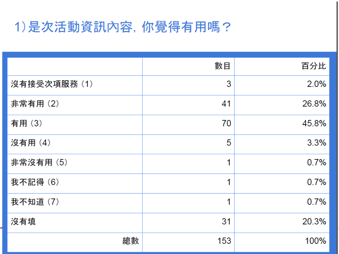## 1)是次活動資訊內容, 你覺得有用嗎?

|              | 數目  | 百分比   |
|--------------|-----|-------|
| 沒有接受次項服務 (1) | 3   | 2.0%  |
| 非常有用(2)      | 41  | 26.8% |
| 有用(3)        | 70  | 45.8% |
| 沒有用(4)       | 5   | 3.3%  |
| 非常沒有用 (5)    | 4   | 0.7%  |
| 我不記得(6)      | 4   | 0.7%  |
| 我不知道 (7)     | 1   | 0.7%  |
| 沒有填          | 31  | 20.3% |
| 總數           | 153 | 100%  |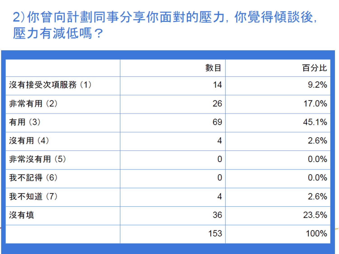## 2)你曾向計劃同事分享你面對的壓力, 你覺得傾談後, 壓力有減低嗎?

|             | 數目  | 百分比   |
|-------------|-----|-------|
| 沒有接受次項服務(1) | 14  | 9.2%  |
| 非常有用(2)     | 26  | 17.0% |
| 有用(3)       | 69  | 45.1% |
| 沒有用(4)      | 4   | 2.6%  |
| 非常沒有用 (5)   | 0   | 0.0%  |
| 我不記得(6)     | 0   | 0.0%  |
| 我不知道 (7)    | 4   | 2.6%  |
| 沒有填         | 36  | 23.5% |
|             | 153 | 100%  |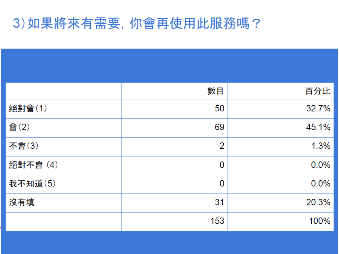### 3) 如果將來有需要, 你會再使用此服務嗎?

|         | 數目             | 百分比   |
|---------|----------------|-------|
| 絕對會(1)  | 50             | 32.7% |
| 會(2)    | 69             | 45.1% |
| 不會(3)   | $\overline{2}$ | 1.3%  |
| 絕對不會(4) | 0              | 0.0%  |
| 我不知道(5) | 0              | 0.0%  |
| 沒有填     | 31             | 20.3% |
|         | 153            | 100%  |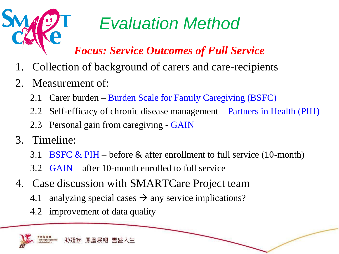

# *Evaluation Method*

### *Focus: Service Outcomes of Full Service*

- 1. Collection of background of carers and care-recipients
- 2. Measurement of:
	- 2.1 Carer burden Burden Scale for Family Caregiving (BSFC)
	- 2.2 Self-efficacy of chronic disease management Partners in Health (PIH)
	- 2.3 Personal gain from caregiving GAIN
- 3. Timeline:
	- 3.1 BSFC & PIH before & after enrollment to full service (10-month)
	- 3.2 GAIN after 10-month enrolled to full service
- 4. Case discussion with SMARTCare Project team
	- 4.1 analyzing special cases  $\rightarrow$  any service implications?
	- 4.2 improvement of data quality

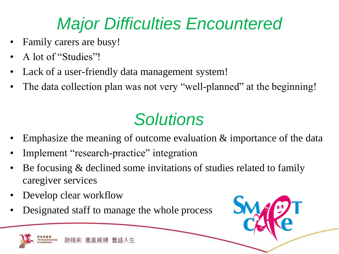## *Major Difficulties Encountered*

- Family carers are busy!
- A lot of "Studies"!
- Lack of a user-friendly data management system!
- The data collection plan was not very "well-planned" at the beginning!

# *Solutions*

- Emphasize the meaning of outcome evaluation & importance of the data
- Implement "research-practice" integration
- Be focusing & declined some invitations of studies related to family caregiver services
- Develop clear workflow
- Designated staff to manage the whole process



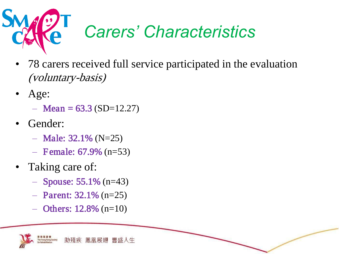

# *Carers' Characteristics*

- 78 carers received full service participated in the evaluation (voluntary-basis)
- Age:
	- $-$  Mean = 63.3 (SD=12.27)
- Gender:
	- $-$  Male: 32.1% (N=25)
	- $-$  Female: 67.9% (n=53)
- Taking care of:
	- $-$  Spouse: 55.1% (n=43)
	- $-$  Parent: 32.1% (n=25)
	- $-$  Others: 12.8% (n=10)

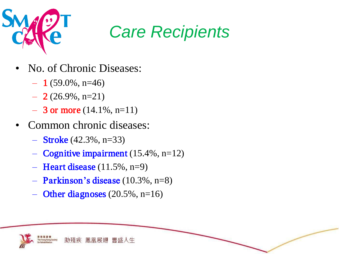

## *Care Recipients*

- No. of Chronic Diseases:
	- $-1$  (59.0%, n=46)
	- $-2(26.9\%, n=21)$
	- $-3$  or more (14.1%, n=11)
- Common chronic diseases:
	- $-$  Stroke (42.3%, n=33)
	- $-$  Cognitive impairment (15.4%, n=12)
	- $-$  Heart disease (11.5%, n=9)
	- $-$  Parkinson's disease (10.3%, n=8)
	- $-$  Other diagnoses (20.5%, n=16)

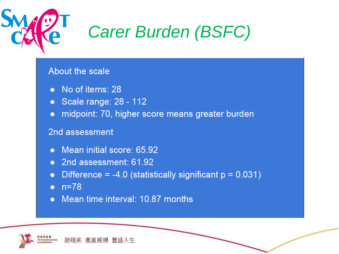

# **Carer Burden (BSFC)**

#### **About the scale**

- No of items: 28
- Scale range: 28 112
- midpoint: 70, higher score means greater burden

#### 2nd assessment

- Mean initial score: 65.92
- 2nd assessment: 61.92
- Difference =  $-4.0$  (statistically significant  $p = 0.031$ )
- $\bullet$  n=78
- Mean time interval: 10.87 months

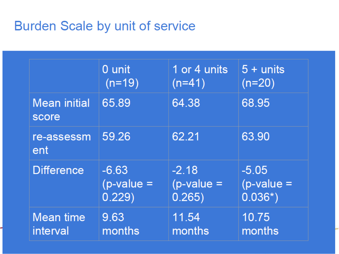### Burden Scale by unit of service

|                              | 0 unit       | 1 or 4 units | $5 +$ units  |
|------------------------------|--------------|--------------|--------------|
|                              | $(n=19)$     | $(n=41)$     | $(n=20)$     |
| <b>Mean initial</b><br>score | 65.89        | 64.38        | 68.95        |
| re-assessm<br>ent            | 59.26        | 62.21        | 63.90        |
| <b>Difference</b>            | $-6.63$      | $-2.18$      | $-5.05$      |
|                              | $(p-value =$ | $(p-value =$ | $(p-value =$ |
|                              | 0.229)       | 0.265)       | $0.036*)$    |
| Mean time                    | 9.63         | 11.54        | 10.75        |
| interval                     | months       | months       | months       |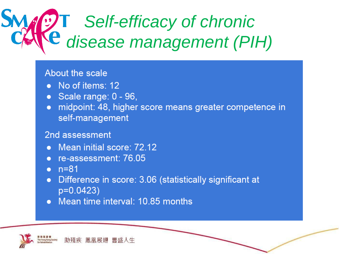# **JT** Self-efficacy of chronic Le disease management (PIH)

#### About the scale

- No of items: 12
- Scale range: 0 96,
- midpoint: 48, higher score means greater competence in  $\bullet$ self-management

#### 2nd assessment

- Mean initial score: 72.12
- re-assessment: 76.05
- $n = 81$
- Difference in score: 3.06 (statistically significant at  $\bullet$  $p=0.0423$
- Mean time interval: 10.85 months

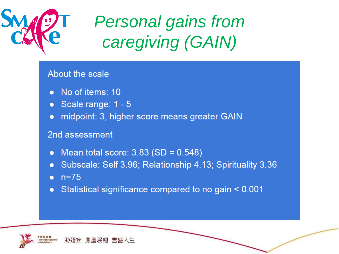

# **Personal gains from** caregiving (GAIN)

#### About the scale

- No of items: 10
- Scale range: 1 5
- midpoint: 3, higher score means greater GAIN

#### 2nd assessment

- Mean total score:  $3.83$  (SD =  $0.548$ )
- Subscale: Self 3.96; Relationship 4.13; Spirituality 3.36
- $n = 75$
- Statistical significance compared to no gain < 0.001

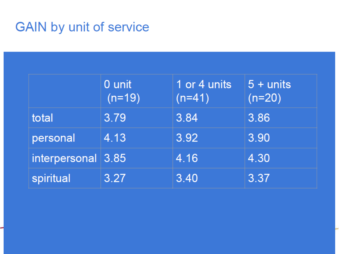## **GAIN by unit of service**

|                    | 0 unit<br>$(n=19)$ | 1 or 4 units<br>$(n=41)$ | $5 +$ units<br>$(n=20)$ |
|--------------------|--------------------|--------------------------|-------------------------|
| total              | 3.79               | 3.84                     | 3.86                    |
| personal           | 4.13               | 3.92                     | 3.90                    |
| interpersonal 3.85 |                    | 4.16                     | 4.30                    |
| spiritual          | 3.27               | 3.40                     | 3.37                    |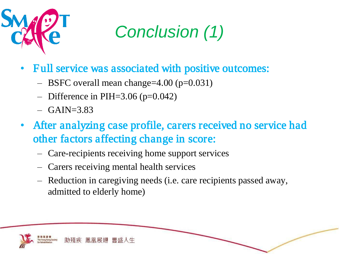

# *Conclusion (1)*

- Full service was associated with positive outcomes:
	- $-$  BSFC overall mean change=4.00 (p=0.031)
	- Difference in PIH= $3.06$  (p= $0.042$ )
	- $-$  GAIN=3.83
- After analyzing case profile, carers received no service had other factors affecting change in score:
	- Care-recipients receiving home support services
	- Carers receiving mental health services
	- Reduction in caregiving needs (i.e. care recipients passed away, admitted to elderly home)

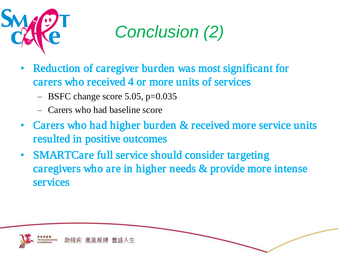

*Conclusion (2)*

- Reduction of caregiver burden was most significant for carers who received 4 or more units of services
	- $-$  BSFC change score 5.05, p=0.035
	- Carers who had baseline score
- Carers who had higher burden & received more service units resulted in positive outcomes
- SMARTCare full service should consider targeting caregivers who are in higher needs & provide more intense services